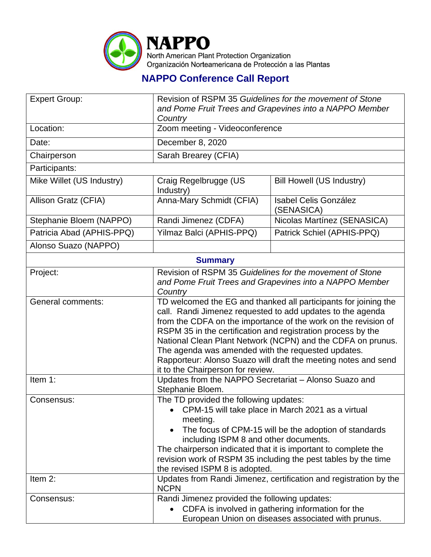

## **NAPPO Conference Call Report**

| <b>Expert Group:</b>      | Revision of RSPM 35 Guidelines for the movement of Stone<br>and Pome Fruit Trees and Grapevines into a NAPPO Member<br>Country                                                                                                                                                                                                                                                                                                                                                              |                                            |  |  |
|---------------------------|---------------------------------------------------------------------------------------------------------------------------------------------------------------------------------------------------------------------------------------------------------------------------------------------------------------------------------------------------------------------------------------------------------------------------------------------------------------------------------------------|--------------------------------------------|--|--|
| Location:                 | Zoom meeting - Videoconference                                                                                                                                                                                                                                                                                                                                                                                                                                                              |                                            |  |  |
| Date:                     | December 8, 2020                                                                                                                                                                                                                                                                                                                                                                                                                                                                            |                                            |  |  |
| Chairperson               | Sarah Brearey (CFIA)                                                                                                                                                                                                                                                                                                                                                                                                                                                                        |                                            |  |  |
| Participants:             |                                                                                                                                                                                                                                                                                                                                                                                                                                                                                             |                                            |  |  |
| Mike Willet (US Industry) | Craig Regelbrugge (US<br>Industry)                                                                                                                                                                                                                                                                                                                                                                                                                                                          | <b>Bill Howell (US Industry)</b>           |  |  |
| Allison Gratz (CFIA)      | Anna-Mary Schmidt (CFIA)                                                                                                                                                                                                                                                                                                                                                                                                                                                                    | <b>Isabel Celis González</b><br>(SENASICA) |  |  |
| Stephanie Bloem (NAPPO)   | Randi Jimenez (CDFA)                                                                                                                                                                                                                                                                                                                                                                                                                                                                        | Nicolas Martínez (SENASICA)                |  |  |
| Patricia Abad (APHIS-PPQ) | Yilmaz Balci (APHIS-PPQ)                                                                                                                                                                                                                                                                                                                                                                                                                                                                    | Patrick Schiel (APHIS-PPQ)                 |  |  |
| Alonso Suazo (NAPPO)      |                                                                                                                                                                                                                                                                                                                                                                                                                                                                                             |                                            |  |  |
| <b>Summary</b>            |                                                                                                                                                                                                                                                                                                                                                                                                                                                                                             |                                            |  |  |
| Project:                  | Revision of RSPM 35 Guidelines for the movement of Stone<br>and Pome Fruit Trees and Grapevines into a NAPPO Member<br>Country                                                                                                                                                                                                                                                                                                                                                              |                                            |  |  |
| General comments:         | TD welcomed the EG and thanked all participants for joining the<br>call. Randi Jimenez requested to add updates to the agenda<br>from the CDFA on the importance of the work on the revision of<br>RSPM 35 in the certification and registration process by the<br>National Clean Plant Network (NCPN) and the CDFA on prunus.<br>The agenda was amended with the requested updates.<br>Rapporteur: Alonso Suazo will draft the meeting notes and send<br>it to the Chairperson for review. |                                            |  |  |
| Item 1:                   | Updates from the NAPPO Secretariat - Alonso Suazo and<br>Stephanie Bloem.                                                                                                                                                                                                                                                                                                                                                                                                                   |                                            |  |  |
| Consensus:                | The TD provided the following updates:<br>CPM-15 will take place in March 2021 as a virtual<br>meeting.<br>The focus of CPM-15 will be the adoption of standards<br>including ISPM 8 and other documents.<br>The chairperson indicated that it is important to complete the<br>revision work of RSPM 35 including the pest tables by the time<br>the revised ISPM 8 is adopted.                                                                                                             |                                            |  |  |
| Item 2:                   | Updates from Randi Jimenez, certification and registration by the<br><b>NCPN</b>                                                                                                                                                                                                                                                                                                                                                                                                            |                                            |  |  |
| Consensus:                | Randi Jimenez provided the following updates:<br>CDFA is involved in gathering information for the<br>European Union on diseases associated with prunus.                                                                                                                                                                                                                                                                                                                                    |                                            |  |  |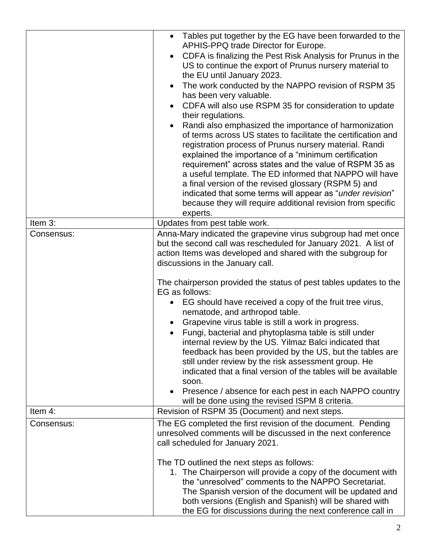|            | Tables put together by the EG have been forwarded to the<br>$\bullet$<br>APHIS-PPQ trade Director for Europe.<br>CDFA is finalizing the Pest Risk Analysis for Prunus in the<br>US to continue the export of Prunus nursery material to<br>the EU until January 2023.<br>The work conducted by the NAPPO revision of RSPM 35<br>$\bullet$<br>has been very valuable.<br>CDFA will also use RSPM 35 for consideration to update<br>their regulations.<br>Randi also emphasized the importance of harmonization<br>of terms across US states to facilitate the certification and<br>registration process of Prunus nursery material. Randi<br>explained the importance of a "minimum certification<br>requirement" across states and the value of RSPM 35 as<br>a useful template. The ED informed that NAPPO will have<br>a final version of the revised glossary (RSPM 5) and<br>indicated that some terms will appear as "under revision"<br>because they will require additional revision from specific<br>experts. |
|------------|-----------------------------------------------------------------------------------------------------------------------------------------------------------------------------------------------------------------------------------------------------------------------------------------------------------------------------------------------------------------------------------------------------------------------------------------------------------------------------------------------------------------------------------------------------------------------------------------------------------------------------------------------------------------------------------------------------------------------------------------------------------------------------------------------------------------------------------------------------------------------------------------------------------------------------------------------------------------------------------------------------------------------|
| Item 3:    | Updates from pest table work.                                                                                                                                                                                                                                                                                                                                                                                                                                                                                                                                                                                                                                                                                                                                                                                                                                                                                                                                                                                         |
| Consensus: | Anna-Mary indicated the grapevine virus subgroup had met once<br>but the second call was rescheduled for January 2021. A list of<br>action Items was developed and shared with the subgroup for<br>discussions in the January call.<br>The chairperson provided the status of pest tables updates to the<br>EG as follows:<br>EG should have received a copy of the fruit tree virus,<br>nematode, and arthropod table.<br>Grapevine virus table is still a work in progress.<br>$\bullet$<br>Fungi, bacterial and phytoplasma table is still under<br>internal review by the US. Yilmaz Balci indicated that<br>feedback has been provided by the US, but the tables are<br>still under review by the risk assessment group. He<br>indicated that a final version of the tables will be available<br>soon.<br>Presence / absence for each pest in each NAPPO country<br>will be done using the revised ISPM 8 criteria.                                                                                              |
| Item 4:    | Revision of RSPM 35 (Document) and next steps.                                                                                                                                                                                                                                                                                                                                                                                                                                                                                                                                                                                                                                                                                                                                                                                                                                                                                                                                                                        |
| Consensus: | The EG completed the first revision of the document. Pending<br>unresolved comments will be discussed in the next conference<br>call scheduled for January 2021.<br>The TD outlined the next steps as follows:<br>1. The Chairperson will provide a copy of the document with<br>the "unresolved" comments to the NAPPO Secretariat.<br>The Spanish version of the document will be updated and<br>both versions (English and Spanish) will be shared with<br>the EG for discussions during the next conference call in                                                                                                                                                                                                                                                                                                                                                                                                                                                                                               |